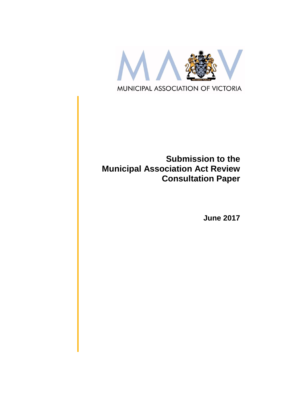

# **Submission to the Municipal Association Act Review Consultation Paper**

**June 2017**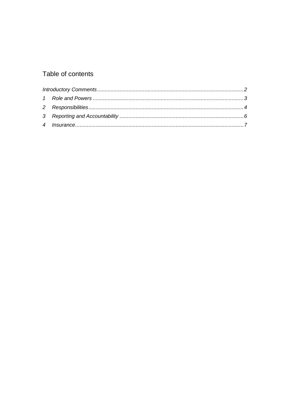# Table of contents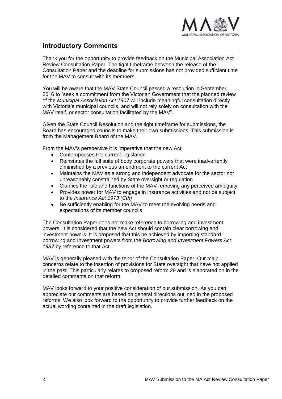

# <span id="page-2-0"></span>**Introductory Comments**

Thank you for the opportunity to provide feedback on the Municipal Association Act Review Consultation Paper. The tight timeframe between the release of the Consultation Paper and the deadline for submissions has not provided sufficient time for the MAV to consult with its members.

You will be aware that the MAV State Council passed a resolution in September 2016 to "seek a commitment from the Victorian Government that the planned review of the *Municipal Association Act 1907* will include meaningful consultation directly with Victoria's municipal councils, and will not rely solely on consultation with the MAV itself, or sector consultation facilitated by the MAV".

Given the State Council Resolution and the tight timeframe for submissions, the Board has encouraged councils to make their own submissions. This submission is from the Management Board of the MAV.

From the MAV's perspective it is imperative that the new Act:

- Contemporises the current legislation
- Reinstates the full suite of body corporate powers that were inadvertently diminished by a previous amendment to the current Act
- Maintains the MAV as a strong and independent advocate for the sector not unreasonably constrained by State oversight or regulation
- Clarifies the role and functions of the MAV removing any perceived ambiguity
- Provides power for MAV to engage in insurance activities and not be subject to the *Insurance Act 1973 (Cth)*
- Be sufficiently enabling for the MAV to meet the evolving needs and expectations of its member councils

The Consultation Paper does not make reference to borrowing and investment powers. It is considered that the new Act should contain clear borrowing and investment powers. It is proposed that this be achieved by importing standard borrowing and Investment powers from the *Borrowing and Investment Powers Act 1987* by reference to that Act.

MAV is generally pleased with the tenor of the Consultation Paper. Our main concerns relate to the insertion of provisions for State oversight that have not applied in the past. This particularly relates to proposed reform 29 and is elaborated on in the detailed comments on that reform.

MAV looks forward to your positive consideration of our submission. As you can appreciate our comments are based on general directions outlined in the proposed reforms. We also look forward to the opportunity to provide further feedback on the actual wording contained in the draft legislation.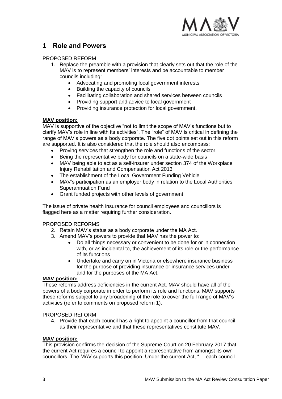

# <span id="page-3-0"></span>**1 Role and Powers**

#### PROPOSED REFORM

- 1. Replace the preamble with a provision that clearly sets out that the role of the MAV is to represent members' interests and be accountable to member councils including:
	- Advocating and promoting local government interests
	- Building the capacity of councils
	- Facilitating collaboration and shared services between councils
	- Providing support and advice to local government
	- Providing insurance protection for local government.

# **MAV position:**

MAV is supportive of the objective "not to limit the scope of MAV's functions but to clarify MAV's role in line with its activities". The "role" of MAV is critical in defining the range of MAV's powers as a body corporate. The five dot points set out in this reform are supported. It is also considered that the role should also encompass:

- Proving services that strengthen the role and functions of the sector
- Being the representative body for councils on a state-wide basis
- MAV being able to act as a self-insurer under section 374 of the Workplace Injury Rehabilitation and Compensation Act 2013
- The establishment of the Local Government Funding Vehicle
- MAV's participation as an employer body in relation to the Local Authorities Superannuation Fund
- Grant funded projects with other levels of government

The issue of private health insurance for council employees and councillors is flagged here as a matter requiring further consideration.

# PROPOSED REFORMS

- 2. Retain MAV's status as a body corporate under the MA Act.
- 3. Amend MAV's powers to provide that MAV has the power to:
	- Do all things necessary or convenient to be done for or in connection with, or as incidental to, the achievement of its role or the performance of its functions
	- Undertake and carry on in Victoria or elsewhere insurance business for the purpose of providing insurance or insurance services under and for the purposes of the MA Act.

#### **MAV position:**

These reforms address deficiencies in the current Act. MAV should have all of the powers of a body corporate in order to perform its role and functions. MAV supports these reforms subject to any broadening of the role to cover the full range of MAV's activities (refer to comments on proposed reform 1).

# PROPOSED REFORM

4. Provide that each council has a right to appoint a councillor from that council as their representative and that these representatives constitute MAV.

# **MAV position:**

This provision confirms the decision of the Supreme Court on 20 February 2017 that the current Act requires a council to appoint a representative from amongst its own councillors. The MAV supports this position. Under the current Act, "… each council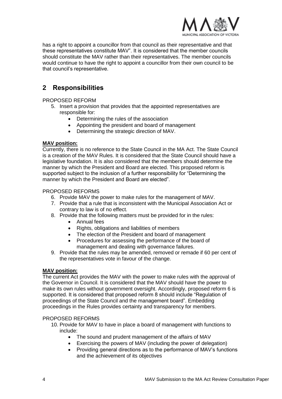

has a right to appoint a councillor from that council as their representative and that these representatives constitute MAV". It is considered that the member councils should constitute the MAV rather than their representatives. The member councils would continue to have the right to appoint a councillor from their own council to be that council's representative.

# <span id="page-4-0"></span>**2 Responsibilities**

PROPOSED REFORM

- 5. Insert a provision that provides that the appointed representatives are responsible for:
	- Determining the rules of the association
	- Appointing the president and board of management
	- Determining the strategic direction of MAV.

# **MAV position:**

Currently, there is no reference to the State Council in the MA Act. The State Council is a creation of the MAV Rules. It is considered that the State Council should have a legislative foundation. It is also considered that the members should determine the manner by which the President and Board are elected. This proposed reform is supported subject to the inclusion of a further responsibility for "Determining the manner by which the President and Board are elected".

# PROPOSED REFORMS

- 6. Provide MAV the power to make rules for the management of MAV.
- 7. Provide that a rule that is inconsistent with the Municipal Association Act or contrary to law is of no effect.
- 8. Provide that the following matters must be provided for in the rules:
	- Annual fees
	- Rights, obligations and liabilities of members
	- The election of the President and board of management
	- Procedures for assessing the performance of the board of management and dealing with governance failures.
- 9. Provide that the rules may be amended, removed or remade if 60 per cent of the representatives vote in favour of the change.

# **MAV position:**

The current Act provides the MAV with the power to make rules with the approval of the Governor in Council. It is considered that the MAV should have the power to make its own rules without government oversight. Accordingly, proposed reform 6 is supported. It is considered that proposed reform 8 should include "Regulation of proceedings of the State Council and the management board". Embedding proceedings in the Rules provides certainty and transparency for members.

# PROPOSED REFORMS

- 10. Provide for MAV to have in place a board of management with functions to include:
	- The sound and prudent management of the affairs of MAV
	- Exercising the powers of MAV (including the power of delegation)
	- Providing general directions as to the performance of MAV's functions and the achievement of its objectives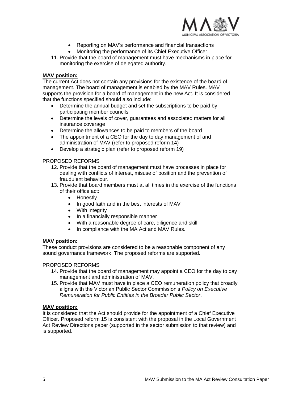

- Reporting on MAV's performance and financial transactions
- Monitoring the performance of its Chief Executive Officer.
- 11. Provide that the board of management must have mechanisms in place for monitoring the exercise of delegated authority.

#### **MAV position:**

The current Act does not contain any provisions for the existence of the board of management. The board of management is enabled by the MAV Rules. MAV supports the provision for a board of management in the new Act. It is considered that the functions specified should also include:

- Determine the annual budget and set the subscriptions to be paid by participating member councils
- Determine the levels of cover, guarantees and associated matters for all insurance coverage
- Determine the allowances to be paid to members of the board
- The appointment of a CEO for the day to day management of and administration of MAV (refer to proposed reform 14)
- Develop a strategic plan (refer to proposed reform 19)

#### PROPOSED REFORMS

- 12. Provide that the board of management must have processes in place for dealing with conflicts of interest, misuse of position and the prevention of fraudulent behaviour.
- 13. Provide that board members must at all times in the exercise of the functions of their office act:
	- Honestly
	- In good faith and in the best interests of MAV
	- With integrity
	- In a financially responsible manner
	- With a reasonable degree of care, diligence and skill
	- In compliance with the MA Act and MAV Rules.

#### **MAV position:**

These conduct provisions are considered to be a reasonable component of any sound governance framework. The proposed reforms are supported.

#### PROPOSED REFORMS

- 14. Provide that the board of management may appoint a CEO for the day to day management and administration of MAV.
- 15. Provide that MAV must have in place a CEO remuneration policy that broadly aligns with the Victorian Public Sector Commission's *Policy on Executive Remuneration for Public Entities in the Broader Public Sector*.

#### **MAV position:**

It is considered that the Act should provide for the appointment of a Chief Executive Officer. Proposed reform 15 is consistent with the proposal in the Local Government Act Review Directions paper (supported in the sector submission to that review) and is supported.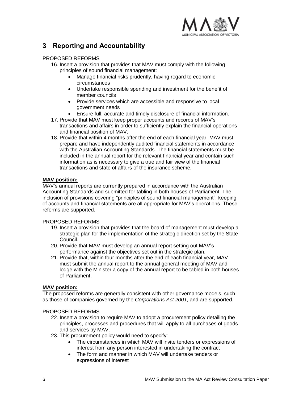

# <span id="page-6-0"></span>**3 Reporting and Accountability**

# PROPOSED REFORMS

- 16. Insert a provision that provides that MAV must comply with the following principles of sound financial management:
	- Manage financial risks prudently, having regard to economic circumstances
	- Undertake responsible spending and investment for the benefit of member councils
	- Provide services which are accessible and responsive to local government needs
	- Ensure full, accurate and timely disclosure of financial information.
- 17. Provide that MAV must keep proper accounts and records of MAV's transactions and affairs in order to sufficiently explain the financial operations and financial position of MAV.
- 18. Provide that within 4 months after the end of each financial year, MAV must prepare and have independently audited financial statements in accordance with the Australian Accounting Standards. The financial statements must be included in the annual report for the relevant financial year and contain such information as is necessary to give a true and fair view of the financial transactions and state of affairs of the insurance scheme.

# **MAV position:**

MAV's annual reports are currently prepared in accordance with the Australian Accounting Standards and submitted for tabling in both houses of Parliament. The inclusion of provisions covering "principles of sound financial management", keeping of accounts and financial statements are all appropriate for MAV's operations. These reforms are supported.

# PROPOSED REFORMS

- 19. Insert a provision that provides that the board of management must develop a strategic plan for the implementation of the strategic direction set by the State Council.
- 20. Provide that MAV must develop an annual report setting out MAV's performance against the objectives set out in the strategic plan.
- 21. Provide that, within four months after the end of each financial year, MAV must submit the annual report to the annual general meeting of MAV and lodge with the Minister a copy of the annual report to be tabled in both houses of Parliament.

# **MAV position:**

The proposed reforms are generally consistent with other governance models, such as those of companies governed by the *Corporations Act 2001*, and are supported.

# PROPOSED REFORMS

- 22. Insert a provision to require MAV to adopt a procurement policy detailing the principles, processes and procedures that will apply to all purchases of goods and services by MAV.
- 23. This procurement policy would need to specify:
	- The circumstances in which MAV will invite tenders or expressions of interest from any person interested in undertaking the contract
	- The form and manner in which MAV will undertake tenders or expressions of interest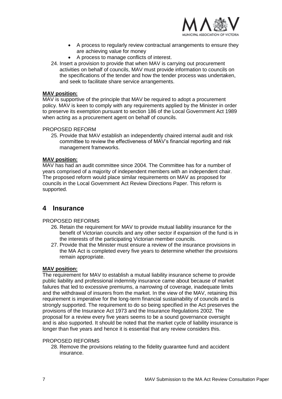

- A process to regularly review contractual arrangements to ensure they are achieving value for money
- A process to manage conflicts of interest.
- 24. Insert a provision to provide that when MAV is carrying out procurement activities on behalf of councils, MAV must provide information to councils on the specifications of the tender and how the tender process was undertaken, and seek to facilitate share service arrangements.

#### **MAV position:**

MAV is supportive of the principle that MAV be required to adopt a procurement policy. MAV is keen to comply with any requirements applied by the Minister in order to preserve its exemption pursuant to section 186 of the Local Government Act 1989 when acting as a procurement agent on behalf of councils.

#### PROPOSED REFORM

25. Provide that MAV establish an independently chaired internal audit and risk committee to review the effectiveness of MAV's financial reporting and risk management frameworks.

#### **MAV position:**

MAV has had an audit committee since 2004. The Committee has for a number of years comprised of a majority of independent members with an independent chair. The proposed reform would place similar requirements on MAV as proposed for councils in the Local Government Act Review Directions Paper. This reform is supported.

# <span id="page-7-0"></span>**4 Insurance**

#### PROPOSED REFORMS

- 26. Retain the requirement for MAV to provide mutual liability insurance for the benefit of Victorian councils and any other sector if expansion of the fund is in the interests of the participating Victorian member councils.
- 27. Provide that the Minister must ensure a review of the insurance provisions in the MA Act is completed every five years to determine whether the provisions remain appropriate.

#### **MAV position:**

The requirement for MAV to establish a mutual liability insurance scheme to provide public liability and professional indemnity insurance came about because of market failures that led to excessive premiums, a narrowing of coverage, inadequate limits and the withdrawal of insurers from the market. In the view of the MAV, retaining this requirement is imperative for the long-term financial sustainability of councils and is strongly supported. The requirement to do so being specified in the Act preserves the provisions of the Insurance Act 1973 and the Insurance Regulations 2002. The proposal for a review every five years seems to be a sound governance oversight and is also supported. It should be noted that the market cycle of liability insurance is longer than five years and hence it is essential that any review considers this.

#### PROPOSED REFORMS

28. Remove the provisions relating to the fidelity guarantee fund and accident insurance.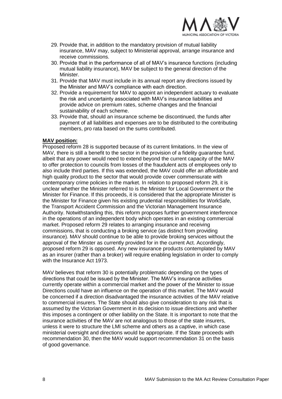

- 29. Provide that, in addition to the mandatory provision of mutual liability insurance, MAV may, subject to Ministerial approval, arrange insurance and receive commissions.
- 30. Provide that in the performance of all of MAV's insurance functions (including mutual liability insurance), MAV be subject to the general direction of the Minister.
- 31. Provide that MAV must include in its annual report any directions issued by the Minister and MAV's compliance with each direction.
- 32. Provide a requirement for MAV to appoint an independent actuary to evaluate the risk and uncertainty associated with MAV's insurance liabilities and provide advice on premium rates, scheme changes and the financial sustainability of each scheme.
- 33. Provide that, should an insurance scheme be discontinued, the funds after payment of all liabilities and expenses are to be distributed to the contributing members, pro rata based on the sums contributed.

#### **MAV position:**

Proposed reform 28 is supported because of its current limitations. In the view of MAV, there is still a benefit to the sector in the provision of a fidelity guarantee fund, albeit that any power would need to extend beyond the current capacity of the MAV to offer protection to councils from losses of the fraudulent acts of employees only to also include third parties. If this was extended, the MAV could offer an affordable and high quality product to the sector that would provide cover commensurate with contemporary crime policies in the market. In relation to proposed reform 29, it is unclear whether the Minister referred to is the Minister for Local Government or the Minister for Finance. If this proceeds, it is considered that the appropriate Minister is the Minister for Finance given his existing prudential responsibilities for WorkSafe, the Transport Accident Commission and the Victorian Management Insurance Authority. Notwithstanding this, this reform proposes further government interference in the operations of an independent body which operates in an existing commercial market. Proposed reform 29 relates to arranging insurance and receiving commissions, that is conducting a broking service (as distinct from providing insurance). MAV should continue to be able to provide broking services without the approval of the Minster as currently provided for in the current Act. Accordingly, proposed reform 29 is opposed. Any new insurance products contemplated by MAV as an insurer (rather than a broker) will require enabling legislation in order to comply with the Insurance Act 1973.

MAV believes that reform 30 is potentially problematic depending on the types of directions that could be issued by the Minister. The MAV's insurance activities currently operate within a commercial market and the power of the Minister to issue Directions could have an influence on the operation of this market. The MAV would be concerned if a direction disadvantaged the insurance activities of the MAV relative to commercial insurers. The State should also give consideration to any risk that is assumed by the Victorian Government in its decision to issue directions and whether this imposes a contingent or other liability on the State. It is important to note that the insurance activities of the MAV are not analogous to those of the state insurers, unless it were to structure the LMI scheme and others as a captive, in which case ministerial oversight and directions would be appropriate. If the State proceeds with recommendation 30, then the MAV would support recommendation 31 on the basis of good governance.